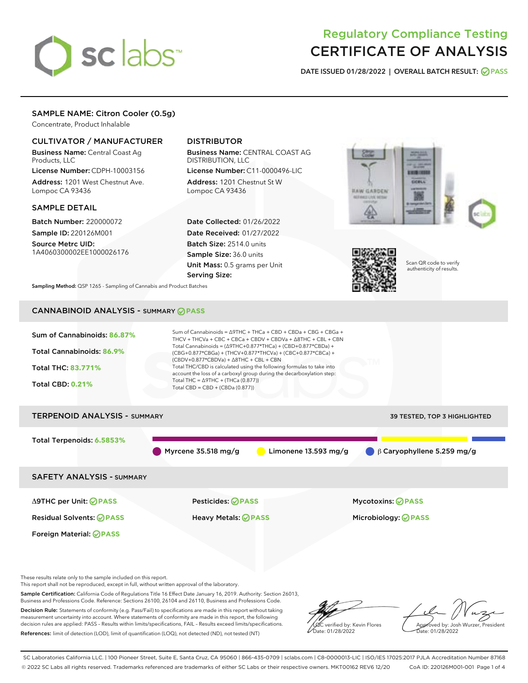

# Regulatory Compliance Testing CERTIFICATE OF ANALYSIS

DATE ISSUED 01/28/2022 | OVERALL BATCH RESULT: @ PASS

# SAMPLE NAME: Citron Cooler (0.5g)

Concentrate, Product Inhalable

# CULTIVATOR / MANUFACTURER

Business Name: Central Coast Ag Products, LLC

License Number: CDPH-10003156 Address: 1201 West Chestnut Ave. Lompoc CA 93436

#### SAMPLE DETAIL

Batch Number: 220000072 Sample ID: 220126M001

Source Metrc UID: 1A4060300002EE1000026176

# DISTRIBUTOR

Business Name: CENTRAL COAST AG DISTRIBUTION, LLC

License Number: C11-0000496-LIC Address: 1201 Chestnut St W Lompoc CA 93436

Date Collected: 01/26/2022 Date Received: 01/27/2022 Batch Size: 2514.0 units Sample Size: 36.0 units Unit Mass: 0.5 grams per Unit Serving Size:





Scan QR code to verify authenticity of results.

Sampling Method: QSP 1265 - Sampling of Cannabis and Product Batches

# CANNABINOID ANALYSIS - SUMMARY **PASS**



Decision Rule: Statements of conformity (e.g. Pass/Fail) to specifications are made in this report without taking measurement uncertainty into account. Where statements of conformity are made in this report, the following decision rules are applied: PASS – Results within limits/specifications, FAIL – Results exceed limits/specifications. References: limit of detection (LOD), limit of quantification (LOQ), not detected (ND), not tested (NT)



Approved by: Josh Wurzer, President ate: 01/28/2022

SC Laboratories California LLC. | 100 Pioneer Street, Suite E, Santa Cruz, CA 95060 | 866-435-0709 | sclabs.com | C8-0000013-LIC | ISO/IES 17025:2017 PJLA Accreditation Number 87168 © 2022 SC Labs all rights reserved. Trademarks referenced are trademarks of either SC Labs or their respective owners. MKT00162 REV6 12/20 CoA ID: 220126M001-001 Page 1 of 4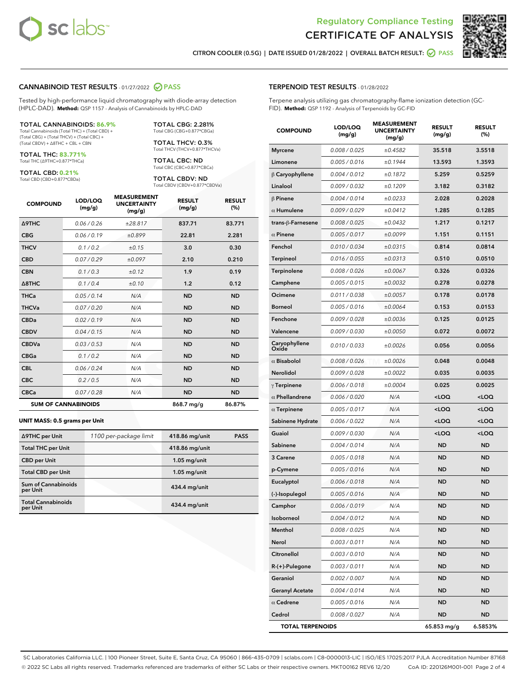



CITRON COOLER (0.5G) | DATE ISSUED 01/28/2022 | OVERALL BATCH RESULT: **O PASS** 

#### CANNABINOID TEST RESULTS - 01/27/2022 2 PASS

Tested by high-performance liquid chromatography with diode-array detection (HPLC-DAD). **Method:** QSP 1157 - Analysis of Cannabinoids by HPLC-DAD

#### TOTAL CANNABINOIDS: **86.9%**

Total Cannabinoids (Total THC) + (Total CBD) + (Total CBG) + (Total THCV) + (Total CBC) + (Total CBDV) + ∆8THC + CBL + CBN

TOTAL THC: **83.771%** Total THC (∆9THC+0.877\*THCa)

TOTAL CBD: **0.21%**

Total CBD (CBD+0.877\*CBDa)

TOTAL CBG: 2.281% Total CBG (CBG+0.877\*CBGa)

TOTAL THCV: 0.3% Total THCV (THCV+0.877\*THCVa)

TOTAL CBC: ND Total CBC (CBC+0.877\*CBCa)

TOTAL CBDV: ND Total CBDV (CBDV+0.877\*CBDVa)

| <b>COMPOUND</b>  | LOD/LOQ<br>(mg/g)          | <b>MEASUREMENT</b><br><b>UNCERTAINTY</b><br>(mg/g) | <b>RESULT</b><br>(mg/g) | <b>RESULT</b><br>(%) |
|------------------|----------------------------|----------------------------------------------------|-------------------------|----------------------|
| <b>A9THC</b>     | 0.06 / 0.26                | ±28.817                                            | 837.71                  | 83.771               |
| <b>CBG</b>       | 0.06 / 0.19                | ±0.899                                             | 22.81                   | 2.281                |
| <b>THCV</b>      | 0.1 / 0.2                  | ±0.15                                              | 3.0                     | 0.30                 |
| <b>CBD</b>       | 0.07/0.29                  | ±0.097                                             | 2.10                    | 0.210                |
| <b>CBN</b>       | 0.1/0.3                    | ±0.12                                              | 1.9                     | 0.19                 |
| $\triangle$ 8THC | 0.1 / 0.4                  | ±0.10                                              | 1.2                     | 0.12                 |
| <b>THCa</b>      | 0.05/0.14                  | N/A                                                | <b>ND</b>               | <b>ND</b>            |
| <b>THCVa</b>     | 0.07/0.20                  | N/A                                                | <b>ND</b>               | <b>ND</b>            |
| <b>CBDa</b>      | 0.02/0.19                  | N/A                                                | <b>ND</b>               | <b>ND</b>            |
| <b>CBDV</b>      | 0.04 / 0.15                | N/A                                                | <b>ND</b>               | <b>ND</b>            |
| <b>CBDVa</b>     | 0.03 / 0.53                | N/A                                                | <b>ND</b>               | <b>ND</b>            |
| <b>CBGa</b>      | 0.1/0.2                    | N/A                                                | <b>ND</b>               | <b>ND</b>            |
| <b>CBL</b>       | 0.06 / 0.24                | N/A                                                | <b>ND</b>               | <b>ND</b>            |
| <b>CBC</b>       | 0.2 / 0.5                  | N/A                                                | <b>ND</b>               | <b>ND</b>            |
| <b>CBCa</b>      | 0.07/0.28                  | N/A                                                | <b>ND</b>               | <b>ND</b>            |
|                  | <b>SUM OF CANNABINOIDS</b> |                                                    | 868.7 mg/g              | 86.87%               |

#### **UNIT MASS: 0.5 grams per Unit**

| ∆9THC per Unit                        | 1100 per-package limit | 418.86 mg/unit  | <b>PASS</b> |
|---------------------------------------|------------------------|-----------------|-------------|
| <b>Total THC per Unit</b>             |                        | 418.86 mg/unit  |             |
| <b>CBD</b> per Unit                   |                        | $1.05$ mg/unit  |             |
| <b>Total CBD per Unit</b>             |                        | $1.05$ mg/unit  |             |
| Sum of Cannabinoids<br>per Unit       |                        | 434.4 mg/unit   |             |
| <b>Total Cannabinoids</b><br>per Unit |                        | $434.4$ mg/unit |             |

#### TERPENOID TEST RESULTS - 01/28/2022

Terpene analysis utilizing gas chromatography-flame ionization detection (GC-FID). **Method:** QSP 1192 - Analysis of Terpenoids by GC-FID

| <b>COMPOUND</b>         | LOD/LOQ<br>(mg/g) | <b>MEASUREMENT</b><br><b>UNCERTAINTY</b><br>(mg/g) | <b>RESULT</b><br>(mg/g)                         | <b>RESULT</b><br>(%) |
|-------------------------|-------------------|----------------------------------------------------|-------------------------------------------------|----------------------|
| <b>Myrcene</b>          | 0.008 / 0.025     | ±0.4582                                            | 35.518                                          | 3.5518               |
| Limonene                | 0.005 / 0.016     | ±0.1944                                            | 13.593                                          | 1.3593               |
| $\beta$ Caryophyllene   | 0.004 / 0.012     | ±0.1872                                            | 5.259                                           | 0.5259               |
| Linalool                | 0.009 / 0.032     | ±0.1209                                            | 3.182                                           | 0.3182               |
| $\beta$ Pinene          | 0.004 / 0.014     | ±0.0233                                            | 2.028                                           | 0.2028               |
| $\alpha$ Humulene       | 0.009/0.029       | ±0.0412                                            | 1.285                                           | 0.1285               |
| trans-ß-Farnesene       | 0.008 / 0.025     | ±0.0432                                            | 1.217                                           | 0.1217               |
| $\alpha$ Pinene         | 0.005 / 0.017     | ±0.0099                                            | 1.151                                           | 0.1151               |
| Fenchol                 | 0.010 / 0.034     | ±0.0315                                            | 0.814                                           | 0.0814               |
| <b>Terpineol</b>        | 0.016 / 0.055     | ±0.0313                                            | 0.510                                           | 0.0510               |
| Terpinolene             | 0.008 / 0.026     | ±0.0067                                            | 0.326                                           | 0.0326               |
| Camphene                | 0.005 / 0.015     | ±0.0032                                            | 0.278                                           | 0.0278               |
| Ocimene                 | 0.011 / 0.038     | ±0.0057                                            | 0.178                                           | 0.0178               |
| <b>Borneol</b>          | 0.005 / 0.016     | ±0.0064                                            | 0.153                                           | 0.0153               |
| Fenchone                | 0.009 / 0.028     | ±0.0036                                            | 0.125                                           | 0.0125               |
| Valencene               | 0.009 / 0.030     | ±0.0050                                            | 0.072                                           | 0.0072               |
| Caryophyllene<br>Oxide  | 0.010 / 0.033     | ±0.0026                                            | 0.056                                           | 0.0056               |
| $\alpha$ Bisabolol      | 0.008 / 0.026     | ±0.0026                                            | 0.048                                           | 0.0048               |
| Nerolidol               | 0.009 / 0.028     | ±0.0022                                            | 0.035                                           | 0.0035               |
| $\gamma$ Terpinene      | 0.006 / 0.018     | ±0.0004                                            | 0.025                                           | 0.0025               |
| $\alpha$ Phellandrene   | 0.006 / 0.020     | N/A                                                | <loq< th=""><th><loq< th=""></loq<></th></loq<> | <loq< th=""></loq<>  |
| $\alpha$ Terpinene      | 0.005 / 0.017     | N/A                                                | <loq< th=""><th><loq< th=""></loq<></th></loq<> | <loq< th=""></loq<>  |
| Sabinene Hydrate        | 0.006 / 0.022     | N/A                                                | <loq< th=""><th><loq< th=""></loq<></th></loq<> | <loq< th=""></loq<>  |
| Guaiol                  | 0.009 / 0.030     | N/A                                                | <loq< th=""><th><loq< th=""></loq<></th></loq<> | <loq< th=""></loq<>  |
| Sabinene                | 0.004 / 0.014     | N/A                                                | ND                                              | ND                   |
| 3 Carene                | 0.005 / 0.018     | N/A                                                | <b>ND</b>                                       | ND                   |
| p-Cymene                | 0.005 / 0.016     | N/A                                                | ND                                              | <b>ND</b>            |
| Eucalyptol              | 0.006 / 0.018     | N/A                                                | <b>ND</b>                                       | <b>ND</b>            |
| (-)-Isopulegol          | 0.005 / 0.016     | N/A                                                | <b>ND</b>                                       | ND                   |
| Camphor                 | 0.006 / 0.019     | N/A                                                | <b>ND</b>                                       | <b>ND</b>            |
| Isoborneol              | 0.004 / 0.012     | N/A                                                | ND                                              | ND                   |
| Menthol                 | 0.008 / 0.025     | N/A                                                | ND                                              | ND                   |
| Nerol                   | 0.003 / 0.011     | N/A                                                | <b>ND</b>                                       | ND                   |
| Citronellol             | 0.003 / 0.010     | N/A                                                | ND                                              | ND                   |
| R-(+)-Pulegone          | 0.003 / 0.011     | N/A                                                | ND                                              | ND                   |
| Geraniol                | 0.002 / 0.007     | N/A                                                | <b>ND</b>                                       | ND                   |
| <b>Geranyl Acetate</b>  | 0.004 / 0.014     | N/A                                                | ND                                              | ND                   |
| $\alpha$ Cedrene        | 0.005 / 0.016     | N/A                                                | ND                                              | ND                   |
| Cedrol                  | 0.008 / 0.027     | N/A                                                | <b>ND</b>                                       | ND                   |
| <b>TOTAL TERPENOIDS</b> |                   |                                                    | 65.853 mg/g                                     | 6.5853%              |

SC Laboratories California LLC. | 100 Pioneer Street, Suite E, Santa Cruz, CA 95060 | 866-435-0709 | sclabs.com | C8-0000013-LIC | ISO/IES 17025:2017 PJLA Accreditation Number 87168 © 2022 SC Labs all rights reserved. Trademarks referenced are trademarks of either SC Labs or their respective owners. MKT00162 REV6 12/20 CoA ID: 220126M001-001 Page 2 of 4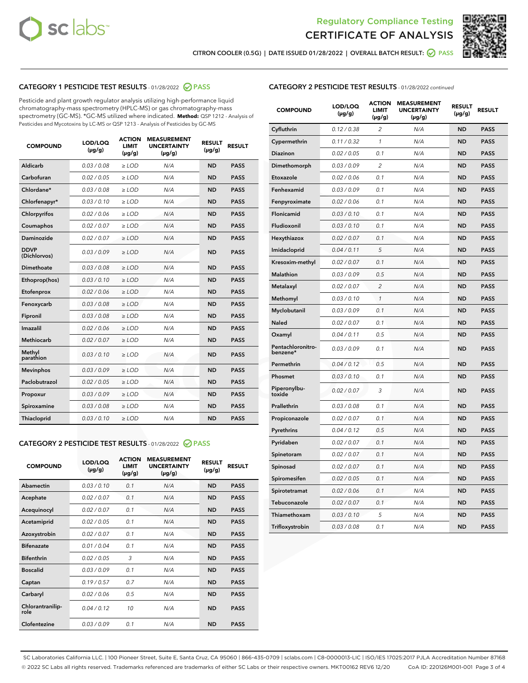



CITRON COOLER (0.5G) | DATE ISSUED 01/28/2022 | OVERALL BATCH RESULT: @ PASS

# CATEGORY 1 PESTICIDE TEST RESULTS - 01/28/2022 2 PASS

Pesticide and plant growth regulator analysis utilizing high-performance liquid chromatography-mass spectrometry (HPLC-MS) or gas chromatography-mass spectrometry (GC-MS). \*GC-MS utilized where indicated. **Method:** QSP 1212 - Analysis of Pesticides and Mycotoxins by LC-MS or QSP 1213 - Analysis of Pesticides by GC-MS

| <b>COMPOUND</b>             | LOD/LOQ<br>$(\mu g/g)$ | <b>ACTION</b><br><b>LIMIT</b><br>$(\mu g/g)$ | <b>MEASUREMENT</b><br><b>UNCERTAINTY</b><br>$(\mu g/g)$ | <b>RESULT</b><br>$(\mu g/g)$ | <b>RESULT</b> |
|-----------------------------|------------------------|----------------------------------------------|---------------------------------------------------------|------------------------------|---------------|
| Aldicarb                    | 0.03 / 0.08            | $\ge$ LOD                                    | N/A                                                     | <b>ND</b>                    | <b>PASS</b>   |
| Carbofuran                  | 0.02/0.05              | $>$ LOD                                      | N/A                                                     | <b>ND</b>                    | <b>PASS</b>   |
| Chlordane*                  | 0.03 / 0.08            | $\ge$ LOD                                    | N/A                                                     | <b>ND</b>                    | <b>PASS</b>   |
| Chlorfenapyr*               | 0.03/0.10              | $>$ LOD                                      | N/A                                                     | <b>ND</b>                    | <b>PASS</b>   |
| Chlorpyrifos                | 0.02 / 0.06            | $\ge$ LOD                                    | N/A                                                     | <b>ND</b>                    | <b>PASS</b>   |
| Coumaphos                   | 0.02 / 0.07            | $\ge$ LOD                                    | N/A                                                     | <b>ND</b>                    | <b>PASS</b>   |
| Daminozide                  | 0.02 / 0.07            | $\ge$ LOD                                    | N/A                                                     | <b>ND</b>                    | <b>PASS</b>   |
| <b>DDVP</b><br>(Dichlorvos) | 0.03/0.09              | $\ge$ LOD                                    | N/A                                                     | <b>ND</b>                    | <b>PASS</b>   |
| Dimethoate                  | 0.03/0.08              | $>$ LOD                                      | N/A                                                     | <b>ND</b>                    | <b>PASS</b>   |
| Ethoprop(hos)               | 0.03/0.10              | $\ge$ LOD                                    | N/A                                                     | <b>ND</b>                    | <b>PASS</b>   |
| Etofenprox                  | 0.02 / 0.06            | $\ge$ LOD                                    | N/A                                                     | <b>ND</b>                    | <b>PASS</b>   |
| Fenoxycarb                  | 0.03 / 0.08            | $\ge$ LOD                                    | N/A                                                     | <b>ND</b>                    | <b>PASS</b>   |
| Fipronil                    | 0.03/0.08              | $>$ LOD                                      | N/A                                                     | <b>ND</b>                    | <b>PASS</b>   |
| Imazalil                    | 0.02 / 0.06            | $\ge$ LOD                                    | N/A                                                     | <b>ND</b>                    | <b>PASS</b>   |
| <b>Methiocarb</b>           | 0.02 / 0.07            | $\ge$ LOD                                    | N/A                                                     | <b>ND</b>                    | <b>PASS</b>   |
| Methyl<br>parathion         | 0.03/0.10              | $\ge$ LOD                                    | N/A                                                     | <b>ND</b>                    | <b>PASS</b>   |
| <b>Mevinphos</b>            | 0.03/0.09              | $>$ LOD                                      | N/A                                                     | <b>ND</b>                    | <b>PASS</b>   |
| Paclobutrazol               | 0.02 / 0.05            | $\ge$ LOD                                    | N/A                                                     | <b>ND</b>                    | <b>PASS</b>   |
| Propoxur                    | 0.03/0.09              | $\ge$ LOD                                    | N/A                                                     | <b>ND</b>                    | <b>PASS</b>   |
| Spiroxamine                 | 0.03 / 0.08            | $\ge$ LOD                                    | N/A                                                     | <b>ND</b>                    | <b>PASS</b>   |
| Thiacloprid                 | 0.03/0.10              | $\ge$ LOD                                    | N/A                                                     | <b>ND</b>                    | <b>PASS</b>   |

#### CATEGORY 2 PESTICIDE TEST RESULTS - 01/28/2022 2 PASS

| <b>COMPOUND</b>          | LOD/LOO<br>$(\mu g/g)$ | <b>ACTION</b><br>LIMIT<br>$(\mu g/g)$ | <b>MEASUREMENT</b><br><b>UNCERTAINTY</b><br>$(\mu g/g)$ | <b>RESULT</b><br>$(\mu g/g)$ | <b>RESULT</b> |  |
|--------------------------|------------------------|---------------------------------------|---------------------------------------------------------|------------------------------|---------------|--|
| Abamectin                | 0.03/0.10              | 0.1                                   | N/A                                                     | <b>ND</b>                    | <b>PASS</b>   |  |
| Acephate                 | 0.02/0.07              | 0.1                                   | N/A                                                     | <b>ND</b>                    | <b>PASS</b>   |  |
| Acequinocyl              | 0.02/0.07              | 0.1                                   | N/A                                                     | <b>ND</b>                    | <b>PASS</b>   |  |
| Acetamiprid              | 0.02/0.05              | 0.1                                   | N/A                                                     | <b>ND</b>                    | <b>PASS</b>   |  |
| Azoxystrobin             | 0.02/0.07              | 0.1                                   | N/A                                                     | <b>ND</b>                    | <b>PASS</b>   |  |
| <b>Bifenazate</b>        | 0.01 / 0.04            | 0.1                                   | N/A                                                     | <b>ND</b>                    | <b>PASS</b>   |  |
| <b>Bifenthrin</b>        | 0.02/0.05              | 3                                     | N/A                                                     | <b>ND</b>                    | <b>PASS</b>   |  |
| <b>Boscalid</b>          | 0.03/0.09              | 0.1                                   | N/A                                                     | <b>ND</b>                    | <b>PASS</b>   |  |
| Captan                   | 0.19/0.57              | 0.7                                   | N/A                                                     | <b>ND</b>                    | <b>PASS</b>   |  |
| Carbaryl                 | 0.02/0.06              | 0.5                                   | N/A                                                     | <b>ND</b>                    | <b>PASS</b>   |  |
| Chlorantranilip-<br>role | 0.04/0.12              | 10                                    | N/A                                                     | <b>ND</b>                    | <b>PASS</b>   |  |
| Clofentezine             | 0.03/0.09              | 0.1                                   | N/A                                                     | <b>ND</b>                    | <b>PASS</b>   |  |

| <b>COMPOUND</b>               | LOD/LOQ<br>(µg/g) | <b>ACTION</b><br><b>LIMIT</b><br>(µg/g) | <b>MEASUREMENT</b><br><b>UNCERTAINTY</b><br>$(\mu g/g)$ | <b>RESULT</b><br>(µg/g) | <b>RESULT</b> |
|-------------------------------|-------------------|-----------------------------------------|---------------------------------------------------------|-------------------------|---------------|
| Cyfluthrin                    | 0.12 / 0.38       | $\overline{c}$                          | N/A                                                     | <b>ND</b>               | <b>PASS</b>   |
| Cypermethrin                  | 0.11 / 0.32       | $\mathcal{I}$                           | N/A                                                     | <b>ND</b>               | <b>PASS</b>   |
| <b>Diazinon</b>               | 0.02 / 0.05       | 0.1                                     | N/A                                                     | <b>ND</b>               | <b>PASS</b>   |
| Dimethomorph                  | 0.03 / 0.09       | 2                                       | N/A                                                     | <b>ND</b>               | <b>PASS</b>   |
| Etoxazole                     | 0.02 / 0.06       | 0.1                                     | N/A                                                     | <b>ND</b>               | <b>PASS</b>   |
| Fenhexamid                    | 0.03 / 0.09       | 0.1                                     | N/A                                                     | <b>ND</b>               | <b>PASS</b>   |
| Fenpyroximate                 | 0.02 / 0.06       | 0.1                                     | N/A                                                     | <b>ND</b>               | <b>PASS</b>   |
| Flonicamid                    | 0.03 / 0.10       | 0.1                                     | N/A                                                     | <b>ND</b>               | <b>PASS</b>   |
| Fludioxonil                   | 0.03 / 0.10       | 0.1                                     | N/A                                                     | <b>ND</b>               | <b>PASS</b>   |
| Hexythiazox                   | 0.02 / 0.07       | 0.1                                     | N/A                                                     | <b>ND</b>               | <b>PASS</b>   |
| Imidacloprid                  | 0.04 / 0.11       | 5                                       | N/A                                                     | <b>ND</b>               | <b>PASS</b>   |
| Kresoxim-methyl               | 0.02 / 0.07       | 0.1                                     | N/A                                                     | <b>ND</b>               | <b>PASS</b>   |
| <b>Malathion</b>              | 0.03 / 0.09       | 0.5                                     | N/A                                                     | <b>ND</b>               | <b>PASS</b>   |
| Metalaxyl                     | 0.02 / 0.07       | $\overline{c}$                          | N/A                                                     | <b>ND</b>               | <b>PASS</b>   |
| Methomyl                      | 0.03 / 0.10       | 1                                       | N/A                                                     | <b>ND</b>               | <b>PASS</b>   |
| Myclobutanil                  | 0.03 / 0.09       | 0.1                                     | N/A                                                     | <b>ND</b>               | <b>PASS</b>   |
| <b>Naled</b>                  | 0.02 / 0.07       | 0.1                                     | N/A                                                     | <b>ND</b>               | <b>PASS</b>   |
| Oxamyl                        | 0.04 / 0.11       | 0.5                                     | N/A                                                     | <b>ND</b>               | <b>PASS</b>   |
| Pentachloronitro-<br>benzene* | 0.03 / 0.09       | 0.1                                     | N/A                                                     | <b>ND</b>               | <b>PASS</b>   |
| Permethrin                    | 0.04 / 0.12       | 0.5                                     | N/A                                                     | <b>ND</b>               | <b>PASS</b>   |
| Phosmet                       | 0.03 / 0.10       | 0.1                                     | N/A                                                     | <b>ND</b>               | <b>PASS</b>   |
| Piperonylbu-<br>toxide        | 0.02 / 0.07       | 3                                       | N/A                                                     | <b>ND</b>               | <b>PASS</b>   |
| Prallethrin                   | 0.03 / 0.08       | 0.1                                     | N/A                                                     | <b>ND</b>               | <b>PASS</b>   |
| Propiconazole                 | 0.02 / 0.07       | 0.1                                     | N/A                                                     | <b>ND</b>               | <b>PASS</b>   |
| Pyrethrins                    | 0.04 / 0.12       | 0.5                                     | N/A                                                     | <b>ND</b>               | <b>PASS</b>   |
| Pyridaben                     | 0.02 / 0.07       | 0.1                                     | N/A                                                     | <b>ND</b>               | <b>PASS</b>   |
| Spinetoram                    | 0.02 / 0.07       | 0.1                                     | N/A                                                     | <b>ND</b>               | <b>PASS</b>   |
| Spinosad                      | 0.02 / 0.07       | 0.1                                     | N/A                                                     | <b>ND</b>               | <b>PASS</b>   |
| Spiromesifen                  | 0.02 / 0.05       | 0.1                                     | N/A                                                     | <b>ND</b>               | <b>PASS</b>   |
| Spirotetramat                 | 0.02 / 0.06       | 0.1                                     | N/A                                                     | <b>ND</b>               | <b>PASS</b>   |
| Tebuconazole                  | 0.02 / 0.07       | 0.1                                     | N/A                                                     | <b>ND</b>               | <b>PASS</b>   |
| Thiamethoxam                  | 0.03 / 0.10       | 5                                       | N/A                                                     | <b>ND</b>               | <b>PASS</b>   |
| Trifloxystrobin               | 0.03 / 0.08       | 0.1                                     | N/A                                                     | <b>ND</b>               | <b>PASS</b>   |

SC Laboratories California LLC. | 100 Pioneer Street, Suite E, Santa Cruz, CA 95060 | 866-435-0709 | sclabs.com | C8-0000013-LIC | ISO/IES 17025:2017 PJLA Accreditation Number 87168 © 2022 SC Labs all rights reserved. Trademarks referenced are trademarks of either SC Labs or their respective owners. MKT00162 REV6 12/20 CoA ID: 220126M001-001 Page 3 of 4